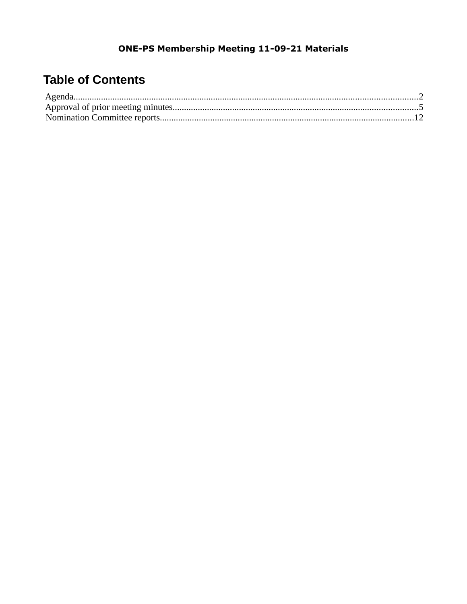# **Table of Contents**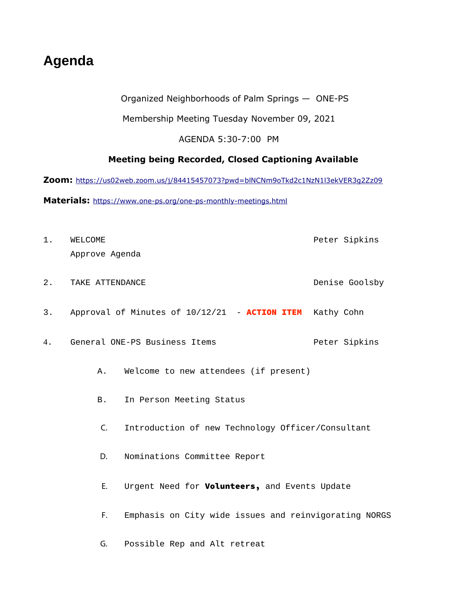# <span id="page-1-0"></span>**Agenda**

#### Organized Neighborhoods of Palm Springs — ONE-PS

#### Membership Meeting Tuesday November 09, 2021

#### AGENDA 5:30-7:00 PM

#### **Meeting being Recorded, Closed Captioning Available**

**Zoom:** <https://us02web.zoom.us/j/84415457073?pwd=blNCNm9oTkd2c1NzN1l3ekVER3g2Zz09>

**Materials:** <https://www.one-ps.org/one-ps-monthly-meetings.html>

- 1. WELCOME Peter Sipkins Approve Agenda 2. TAKE ATTENDANCE **DELACT CONSERVANCE DENSITY** Denise Goolsby 3. Approval of Minutes of 10/12/21 - **ACTION ITEM** Kathy Cohn 4. General ONE-PS Business Items entitled and the Peter Sipkins A. Welcome to new attendees (if present) B. In Person Meeting Status C. Introduction of new Technology Officer/Consultant D. Nominations Committee Report E. Urgent Need for **Volunteers**, and Events Update F. Emphasis on City wide issues and reinvigorating NORGS
	- G. Possible Rep and Alt retreat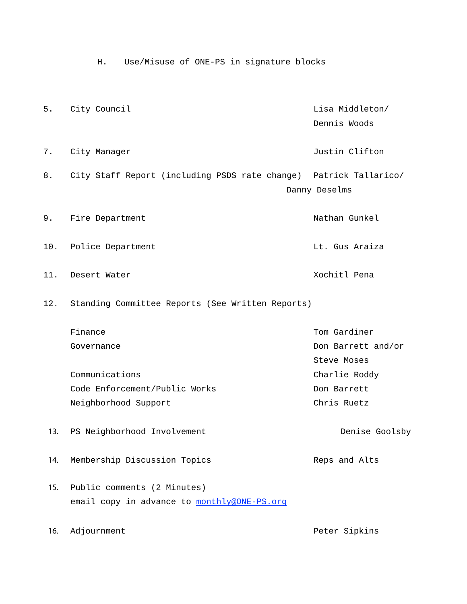H. Use/Misuse of ONE-PS in signature blocks 5. City Council **Exercise 2** and the council control of the council control of the control of the control of the control of the control of the control of the control of the control of the control of the control of the cont Dennis Woods 7. City Manager **Justin Clifton** 8. City Staff Report (including PSDS rate change) Patrick Tallarico/ Danny Deselms 9. Fire Department Nathan Gunkel 10. Police Department Let. Gus Araiza 11. Desert Water  $\sim$  2001 - 2001 - 2001 - 2006 - 2016 - 2017 - 2018 - 2018 - 2018 - 2018 - 2018 - 2018 - 201 12. Standing Committee Reports (See Written Reports) Finance **Tom Gardiner** Tom Gardiner Governance Don Barrett and/or Steve Moses Communications Charlie Roddy Code Enforcement/Public Works The Code Enforcement/Public Works Neighborhood Support Chris Ruetz Denise Goolsby Reps and Alts 13. PS Neighborhood Involvement 14. Membership Discussion Topics 15. Public comments (2 Minutes) email copy in advance to **monthly@ONE-PS.org** 16. Adjournment **Peter Sipkins**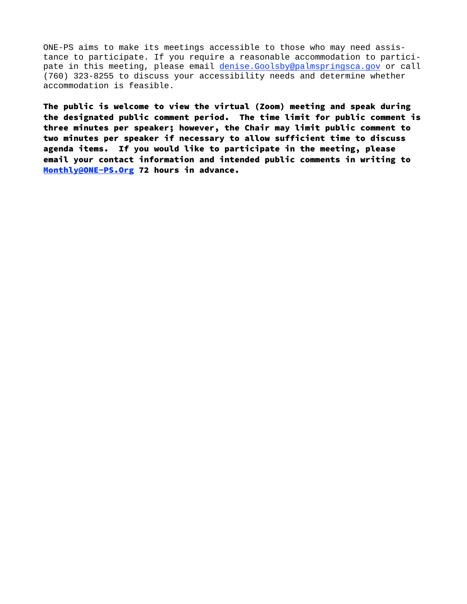ONE-PS aims to make its meetings accessible to those who may need assistance to participate. If you require a reasonable accommodation to participate in this meeting, please email denise.Goolsby@palmspringsca.gov or call (760) 323-8255 to discuss your accessibility needs and determine whether accommodation is feasible.

The public is welcome to view the virtual (Zoom) meeting and speak during the designated public comment period. The time limit for public comment is three minutes per speaker; however, the Chair may limit public comment to two minutes per speaker if necessary to allow sufficient time to discuss agenda items. If you would like to participate in the meeting, please email your contact information and intended public comments in writing to Monthly@ONE-PS.Org [72 hours in advance.](mailto:toMonthly@ONE-PS.Org)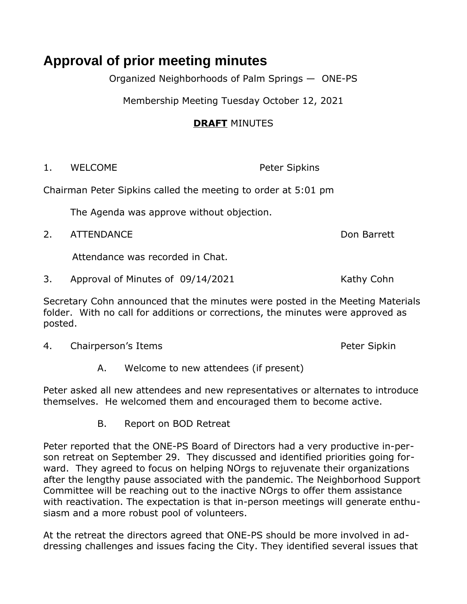# <span id="page-4-0"></span>**Approval of prior meeting minutes**

Organized Neighborhoods of Palm Springs — ONE-PS

Membership Meeting Tuesday October 12, 2021

## **DRAFT** MINUTES

1. WELCOME Peter Sipkins

Chairman Peter Sipkins called the meeting to order at 5:01 pm

The Agenda was approve without objection.

2. ATTENDANCE Don Barrett

Attendance was recorded in Chat.

3. Approval of Minutes of 09/14/2021 Kathy Cohn

Secretary Cohn announced that the minutes were posted in the Meeting Materials folder. With no call for additions or corrections, the minutes were approved as posted.

4. Chairperson's Items **Peter Sipkin** 

A. Welcome to new attendees (if present)

Peter asked all new attendees and new representatives or alternates to introduce themselves. He welcomed them and encouraged them to become active.

B. Report on BOD Retreat

Peter reported that the ONE-PS Board of Directors had a very productive in-person retreat on September 29. They discussed and identified priorities going forward. They agreed to focus on helping NOrgs to rejuvenate their organizations after the lengthy pause associated with the pandemic. The Neighborhood Support Committee will be reaching out to the inactive NOrgs to offer them assistance with reactivation. The expectation is that in-person meetings will generate enthusiasm and a more robust pool of volunteers.

At the retreat the directors agreed that ONE-PS should be more involved in addressing challenges and issues facing the City. They identified several issues that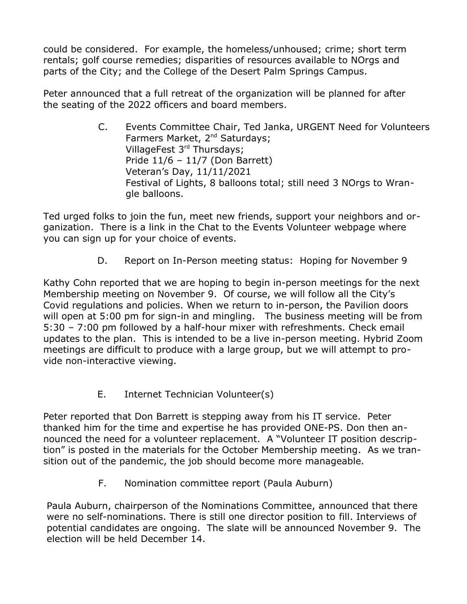could be considered. For example, the homeless/unhoused; crime; short term rentals; golf course remedies; disparities of resources available to NOrgs and parts of the City; and the College of the Desert Palm Springs Campus.

Peter announced that a full retreat of the organization will be planned for after the seating of the 2022 officers and board members.

> C. Events Committee Chair, Ted Janka, URGENT Need for Volunteers Farmers Market, 2<sup>nd</sup> Saturdays; VillageFest 3rd Thursdays; Pride 11/6 – 11/7 (Don Barrett) Veteran's Day, 11/11/2021 Festival of Lights, 8 balloons total; still need 3 NOrgs to Wrangle balloons.

Ted urged folks to join the fun, meet new friends, support your neighbors and organization. There is a link in the Chat to the Events Volunteer webpage where you can sign up for your choice of events.

D. Report on In-Person meeting status: Hoping for November 9

Kathy Cohn reported that we are hoping to begin in-person meetings for the next Membership meeting on November 9. Of course, we will follow all the City's Covid regulations and policies. When we return to in-person, the Pavilion doors will open at 5:00 pm for sign-in and mingling. The business meeting will be from 5:30 – 7:00 pm followed by a half-hour mixer with refreshments. Check email updates to the plan. This is intended to be a live in-person meeting. Hybrid Zoom meetings are difficult to produce with a large group, but we will attempt to provide non-interactive viewing.

E. Internet Technician Volunteer(s)

Peter reported that Don Barrett is stepping away from his IT service. Peter thanked him for the time and expertise he has provided ONE-PS. Don then announced the need for a volunteer replacement. A "Volunteer IT position description" is posted in the materials for the October Membership meeting. As we transition out of the pandemic, the job should become more manageable.

F. Nomination committee report (Paula Auburn)

Paula Auburn, chairperson of the Nominations Committee, announced that there were no self-nominations. There is still one director position to fill. Interviews of potential candidates are ongoing. The slate will be announced November 9. The election will be held December 14.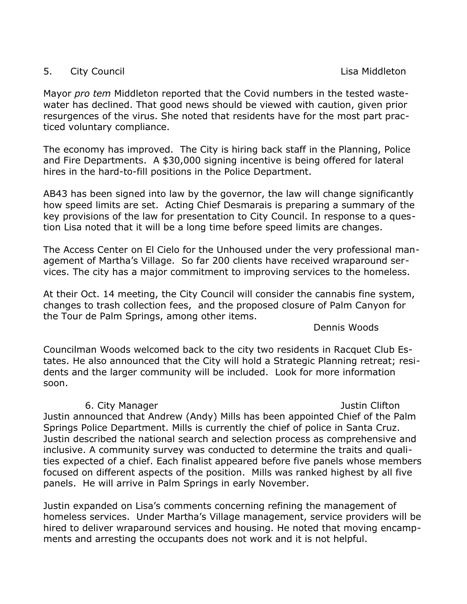### 5. City Council and the control of the control of the control of the control of the control of the control of the control of the control of the control of the control of the control of the control of the control of the con

Mayor *pro tem* Middleton reported that the Covid numbers in the tested wastewater has declined. That good news should be viewed with caution, given prior resurgences of the virus. She noted that residents have for the most part practiced voluntary compliance.

The economy has improved. The City is hiring back staff in the Planning, Police and Fire Departments. A \$30,000 signing incentive is being offered for lateral hires in the hard-to-fill positions in the Police Department.

AB43 has been signed into law by the governor, the law will change significantly how speed limits are set. Acting Chief Desmarais is preparing a summary of the key provisions of the law for presentation to City Council. In response to a question Lisa noted that it will be a long time before speed limits are changes.

The Access Center on El Cielo for the Unhoused under the very professional management of Martha's Village. So far 200 clients have received wraparound services. The city has a major commitment to improving services to the homeless.

At their Oct. 14 meeting, the City Council will consider the cannabis fine system, changes to trash collection fees, and the proposed closure of Palm Canyon for the Tour de Palm Springs, among other items.

Dennis Woods

Councilman Woods welcomed back to the city two residents in Racquet Club Estates. He also announced that the City will hold a Strategic Planning retreat; residents and the larger community will be included. Look for more information soon.

#### 6. City Manager **Justin Clifton**

Justin announced that Andrew (Andy) Mills has been appointed Chief of the Palm Springs Police Department. Mills is currently the chief of police in Santa Cruz. Justin described the national search and selection process as comprehensive and inclusive. A community survey was conducted to determine the traits and qualities expected of a chief. Each finalist appeared before five panels whose members focused on different aspects of the position. Mills was ranked highest by all five panels. He will arrive in Palm Springs in early November.

Justin expanded on Lisa's comments concerning refining the management of homeless services. Under Martha's Village management, service providers will be hired to deliver wraparound services and housing. He noted that moving encampments and arresting the occupants does not work and it is not helpful.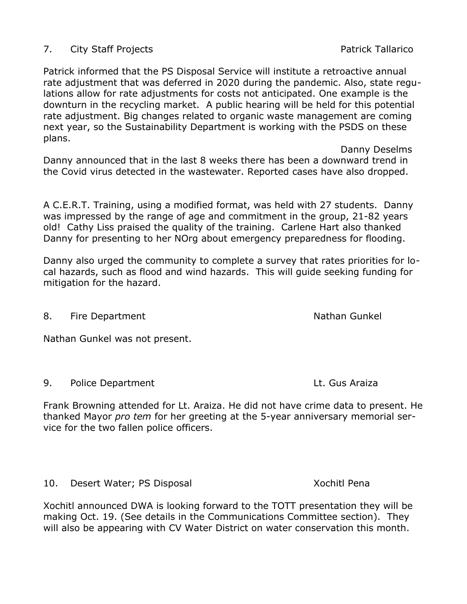### 7. City Staff Projects **Patrick Tallarico** Patrick Tallarico

Patrick informed that the PS Disposal Service will institute a retroactive annual rate adjustment that was deferred in 2020 during the pandemic. Also, state regulations allow for rate adjustments for costs not anticipated. One example is the downturn in the recycling market. A public hearing will be held for this potential rate adjustment. Big changes related to organic waste management are coming next year, so the Sustainability Department is working with the PSDS on these plans.

Danny announced that in the last 8 weeks there has been a downward trend in the Covid virus detected in the wastewater. Reported cases have also dropped.

A C.E.R.T. Training, using a modified format, was held with 27 students. Danny was impressed by the range of age and commitment in the group, 21-82 years old! Cathy Liss praised the quality of the training. Carlene Hart also thanked Danny for presenting to her NOrg about emergency preparedness for flooding.

Danny also urged the community to complete a survey that rates priorities for local hazards, such as flood and wind hazards. This will guide seeking funding for mitigation for the hazard.

8. Fire Department Nathan Gunkel

Nathan Gunkel was not present.

9. Police Department Lt. Gus Araiza

Frank Browning attended for Lt. Araiza. He did not have crime data to present. He thanked Mayor *pro tem* for her greeting at the 5-year anniversary memorial service for the two fallen police officers.

10. Desert Water; PS Disposal North Mater 2012 10. Nochitl Pena

Xochitl announced DWA is looking forward to the TOTT presentation they will be making Oct. 19. (See details in the Communications Committee section). They will also be appearing with CV Water District on water conservation this month.

Danny Deselms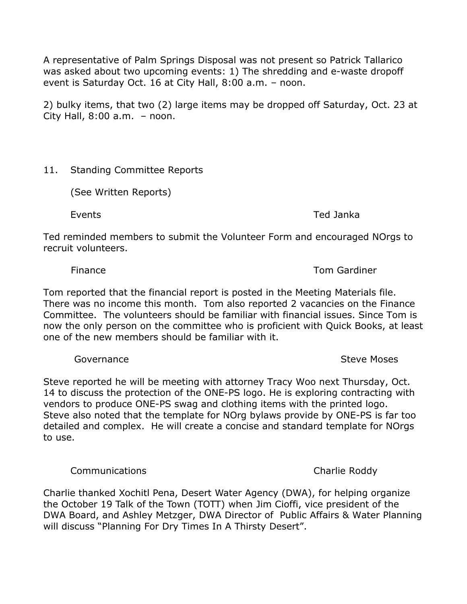A representative of Palm Springs Disposal was not present so Patrick Tallarico was asked about two upcoming events: 1) The shredding and e-waste dropoff event is Saturday Oct. 16 at City Hall, 8:00 a.m. – noon.

2) bulky items, that two (2) large items may be dropped off Saturday, Oct. 23 at City Hall, 8:00 a.m. – noon.

### 11. Standing Committee Reports

(See Written Reports)

Events Ted Janka

Ted reminded members to submit the Volunteer Form and encouraged NOrgs to recruit volunteers.

### Finance Tom Gardiner

Tom reported that the financial report is posted in the Meeting Materials file. There was no income this month. Tom also reported 2 vacancies on the Finance Committee. The volunteers should be familiar with financial issues. Since Tom is now the only person on the committee who is proficient with Quick Books, at least one of the new members should be familiar with it.

Steve reported he will be meeting with attorney Tracy Woo next Thursday, Oct. 14 to discuss the protection of the ONE-PS logo. He is exploring contracting with vendors to produce ONE-PS swag and clothing items with the printed logo. Steve also noted that the template for NOrg bylaws provide by ONE-PS is far too detailed and complex. He will create a concise and standard template for NOrgs to use.

Communications **Communications** Charlie Roddy

Charlie thanked Xochitl Pena, Desert Water Agency (DWA), for helping organize the October 19 Talk of the Town (TOTT) when Jim Cioffi, vice president of the DWA Board, and Ashley Metzger, DWA Director of Public Affairs & Water Planning will discuss "Planning For Dry Times In A Thirsty Desert".

Governance **Steve Moses** Steve Moses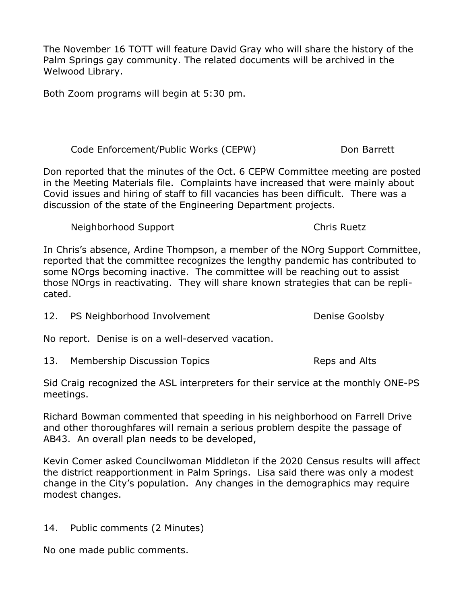The November 16 TOTT will feature David Gray who will share the history of the Palm Springs gay community. The related documents will be archived in the Welwood Library.

Both Zoom programs will begin at 5:30 pm.

Code Enforcement/Public Works (CEPW) Don Barrett

Don reported that the minutes of the Oct. 6 CEPW Committee meeting are posted in the Meeting Materials file. Complaints have increased that were mainly about Covid issues and hiring of staff to fill vacancies has been difficult. There was a discussion of the state of the Engineering Department projects.

Neighborhood Support **Chris Ruetz** 

In Chris's absence, Ardine Thompson, a member of the NOrg Support Committee, reported that the committee recognizes the lengthy pandemic has contributed to some NOrgs becoming inactive. The committee will be reaching out to assist those NOrgs in reactivating. They will share known strategies that can be replicated.

12. PS Neighborhood Involvement The Coolsby Chenise Goolsby

No report. Denise is on a well-deserved vacation.

13. Membership Discussion Topics The Reps and Alts

Sid Craig recognized the ASL interpreters for their service at the monthly ONE-PS meetings.

Richard Bowman commented that speeding in his neighborhood on Farrell Drive and other thoroughfares will remain a serious problem despite the passage of AB43. An overall plan needs to be developed,

Kevin Comer asked Councilwoman Middleton if the 2020 Census results will affect the district reapportionment in Palm Springs. Lisa said there was only a modest change in the City's population. Any changes in the demographics may require modest changes.

14. Public comments (2 Minutes)

No one made public comments.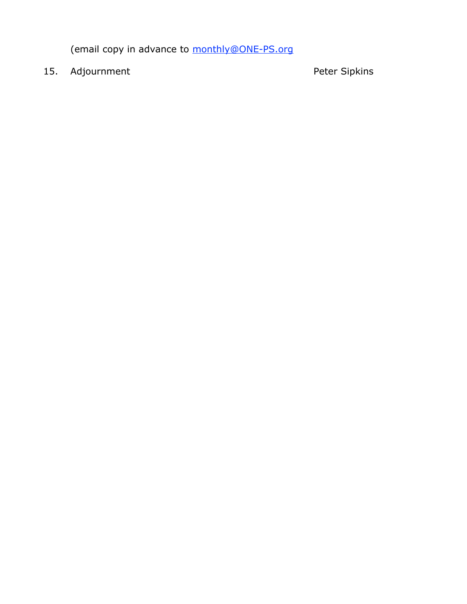(email copy in advance to monthly@ONE-PS.org

15. Adjournment example and the Peter Sipkins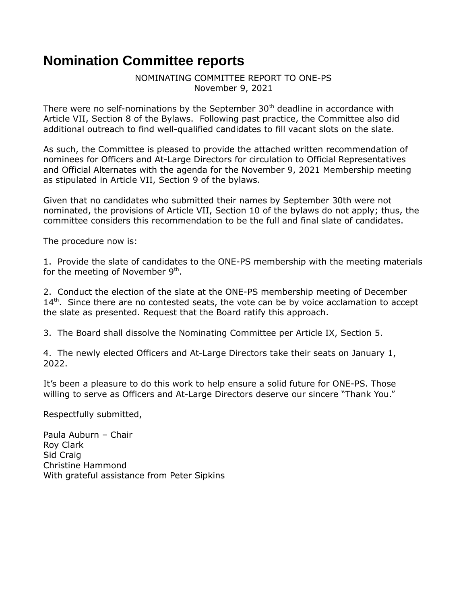# <span id="page-11-0"></span>**Nomination Committee reports**

NOMINATING COMMITTEE REPORT TO ONE-PS November 9, 2021

There were no self-nominations by the September  $30<sup>th</sup>$  deadline in accordance with Article VII, Section 8 of the Bylaws. Following past practice, the Committee also did additional outreach to find well-qualified candidates to fill vacant slots on the slate.

As such, the Committee is pleased to provide the attached written recommendation of nominees for Officers and At-Large Directors for circulation to Official Representatives and Official Alternates with the agenda for the November 9, 2021 Membership meeting as stipulated in Article VII, Section 9 of the bylaws.

Given that no candidates who submitted their names by September 30th were not nominated, the provisions of Article VII, Section 10 of the bylaws do not apply; thus, the committee considers this recommendation to be the full and final slate of candidates.

The procedure now is:

1. Provide the slate of candidates to the ONE-PS membership with the meeting materials for the meeting of November  $9<sup>th</sup>$ .

2. Conduct the election of the slate at the ONE-PS membership meeting of December  $14<sup>th</sup>$ . Since there are no contested seats, the vote can be by voice acclamation to accept the slate as presented. Request that the Board ratify this approach.

3. The Board shall dissolve the Nominating Committee per Article IX, Section 5.

4. The newly elected Officers and At-Large Directors take their seats on January 1, 2022.

It's been a pleasure to do this work to help ensure a solid future for ONE-PS. Those willing to serve as Officers and At-Large Directors deserve our sincere "Thank You."

Respectfully submitted,

Paula Auburn – Chair Roy Clark Sid Craig Christine Hammond With grateful assistance from Peter Sipkins